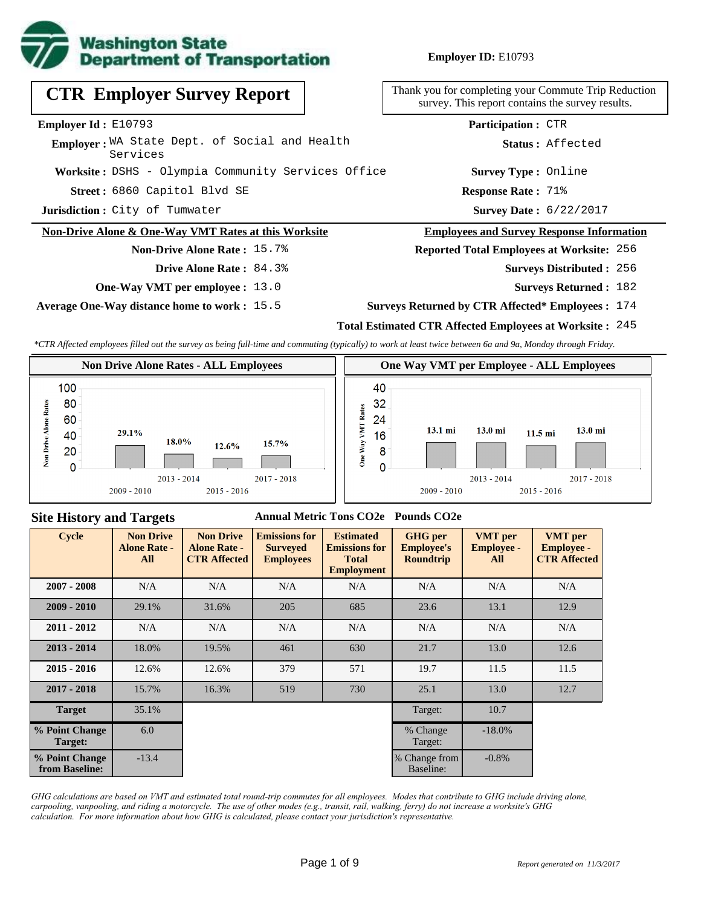

**Employer ID:** E10793

# **CTR Employer Survey Report**

#### **Employer Id :** E10793

**Worksite :** DSHS - Olympia Community Services Office Employer: WA State Dept. of Social and Health Services

**Jurisdiction :** City of Tumwater

#### **Non-Drive Alone & One-Way VMT Rates at this Worksite**

#### **Non-Drive Alone Rate :** 15.7%

- **Drive Alone Rate :** 84.3%
- **One-Way VMT per employee :** 13.0

**Average One-Way distance home to work :** 15.5

Thank you for completing your Commute Trip Reduction survey. This report contains the survey results.

6860 Capitol Blvd SE **Response Rate : Street :** Survey Date: 6/22/2017 **Response Rate: 71% Survey Type :** Online **Status :** Affected **Participation :** CTR

#### **Employees and Survey Response Information**

## **Reported Total Employees at Worksite:** 256

- Surveys Distributed : 256
	- **Surveys Returned :** 182
- **Surveys Returned by CTR Affected\* Employees :** 174

#### **Total Estimated CTR Affected Employees at Worksite :** 245

*\*CTR Affected employees filled out the survey as being full-time and commuting (typically) to work at least twice between 6a and 9a, Monday through Friday.*



#### **Site History and Targets**

#### **Annual Metric Tons CO2e Pounds CO2e**

| <b>Cycle</b>                     | <b>Non Drive</b><br><b>Alone Rate -</b><br>All | <b>Non Drive</b><br><b>Alone Rate -</b><br><b>CTR Affected</b> | <b>Emissions for</b><br><b>Surveyed</b><br><b>Employees</b> | <b>Estimated</b><br><b>Emissions for</b><br><b>Total</b><br><b>Employment</b> | <b>GHG</b> per<br><b>Employee's</b><br><b>Roundtrip</b> | <b>VMT</b> per<br><b>Employee -</b><br>All | <b>VMT</b> per<br><b>Employee -</b><br><b>CTR Affected</b> |
|----------------------------------|------------------------------------------------|----------------------------------------------------------------|-------------------------------------------------------------|-------------------------------------------------------------------------------|---------------------------------------------------------|--------------------------------------------|------------------------------------------------------------|
| $2007 - 2008$                    | N/A                                            | N/A<br>N/A                                                     |                                                             | N/A                                                                           | N/A                                                     | N/A                                        | N/A                                                        |
| $2009 - 2010$                    | 29.1%                                          | 31.6%                                                          | 205                                                         | 685                                                                           | 23.6                                                    | 13.1                                       | 12.9                                                       |
| $2011 - 2012$                    | N/A                                            | N/A                                                            | N/A                                                         | N/A                                                                           | N/A                                                     | N/A                                        | N/A                                                        |
| $2013 - 2014$                    | 18.0%                                          | 19.5%                                                          | 461                                                         | 630                                                                           | 21.7                                                    | 13.0                                       | 12.6                                                       |
| $2015 - 2016$                    | 12.6%                                          | 12.6%                                                          | 379                                                         | 571                                                                           | 19.7                                                    | 11.5                                       | 11.5                                                       |
| $2017 - 2018$                    | 15.7%                                          | 16.3%                                                          | 519                                                         | 730                                                                           | 25.1                                                    | 13.0                                       | 12.7                                                       |
| <b>Target</b>                    | 35.1%                                          |                                                                |                                                             |                                                                               | Target:                                                 | 10.7                                       |                                                            |
| % Point Change<br>Target:        | 6.0                                            |                                                                |                                                             |                                                                               | % Change<br>Target:                                     | $-18.0\%$                                  |                                                            |
| % Point Change<br>from Baseline: | $-13.4$                                        |                                                                |                                                             |                                                                               | % Change from<br>Baseline:                              | $-0.8\%$                                   |                                                            |

*GHG calculations are based on VMT and estimated total round-trip commutes for all employees. Modes that contribute to GHG include driving alone, carpooling, vanpooling, and riding a motorcycle. The use of other modes (e.g., transit, rail, walking, ferry) do not increase a worksite's GHG calculation. For more information about how GHG is calculated, please contact your jurisdiction's representative.*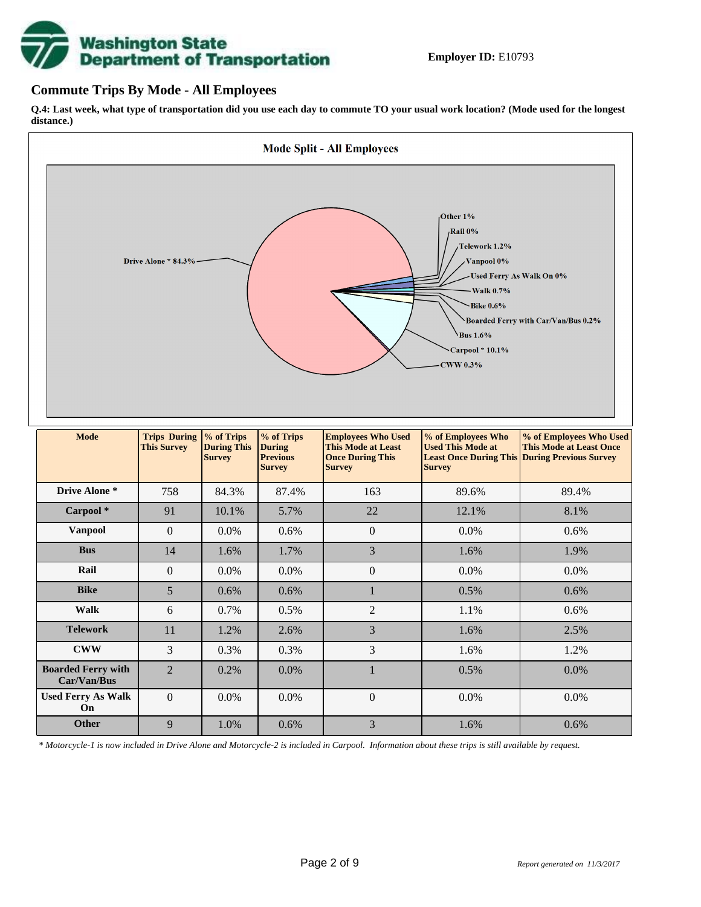# **Washington State<br>Department of Transportation**

## **Commute Trips By Mode - All Employees**

**Q.4: Last week, what type of transportation did you use each day to commute TO your usual work location? (Mode used for the longest distance.)**



*\* Motorcycle-1 is now included in Drive Alone and Motorcycle-2 is included in Carpool. Information about these trips is still available by request.*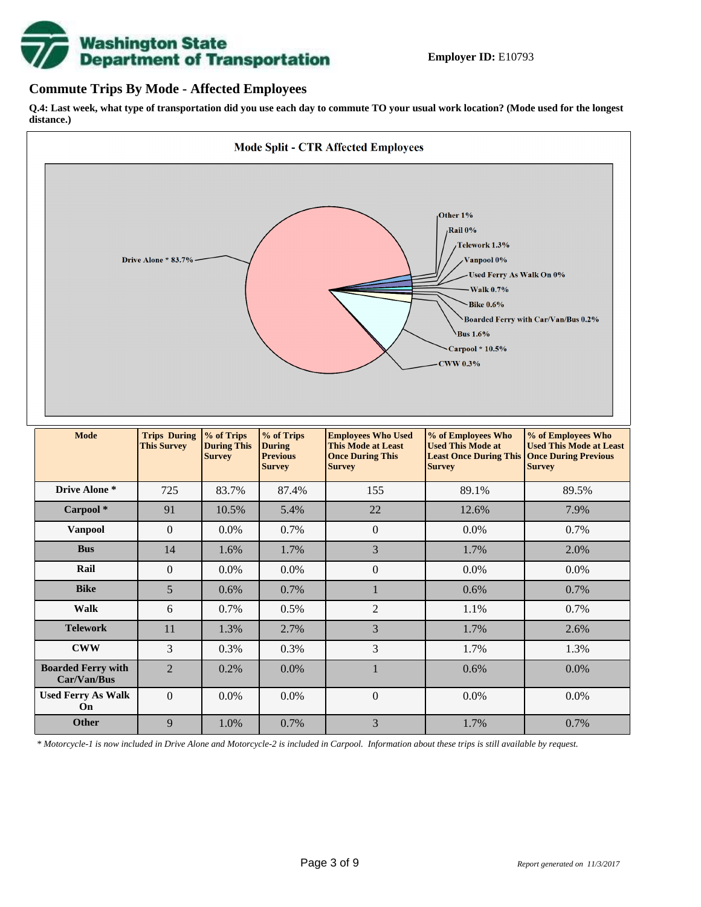

## **Commute Trips By Mode - Affected Employees**

**Q.4: Last week, what type of transportation did you use each day to commute TO your usual work location? (Mode used for the longest distance.)**



*\* Motorcycle-1 is now included in Drive Alone and Motorcycle-2 is included in Carpool. Information about these trips is still available by request.*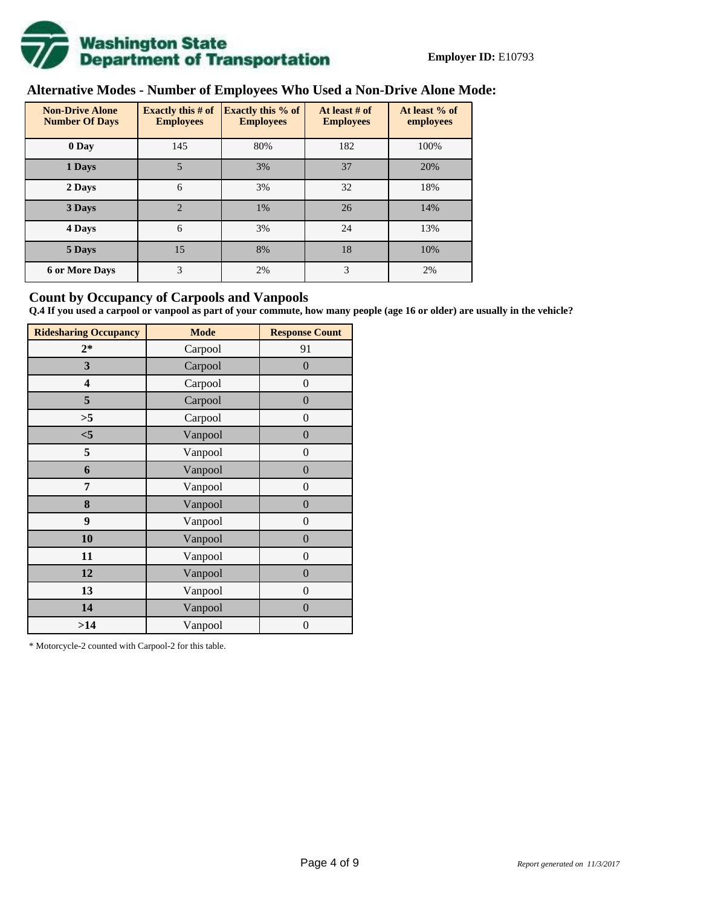

# **Alternative Modes - Number of Employees Who Used a Non-Drive Alone Mode:**

| <b>Non-Drive Alone</b><br><b>Number Of Days</b> | <b>Exactly this # of</b><br><b>Employees</b> | <b>Exactly this % of</b><br><b>Employees</b> | At least # of<br><b>Employees</b> | At least % of<br>employees |
|-------------------------------------------------|----------------------------------------------|----------------------------------------------|-----------------------------------|----------------------------|
| 0 Day                                           | 145                                          | 80%                                          | 182                               | 100%                       |
| 1 Days                                          | 5                                            | 3%                                           | 37                                | 20%                        |
| 2 Days                                          | 6                                            | 3%                                           | 32                                | 18%                        |
| 3 Days                                          | $\overline{2}$                               | 1%                                           | 26                                | 14%                        |
| 4 Days                                          | 6                                            | 3%                                           | 24                                | 13%                        |
| 5 Days                                          | 15                                           | 8%                                           | 18                                | 10%                        |
| <b>6 or More Days</b>                           | 3                                            | 2%                                           | 3                                 | 2%                         |

## **Count by Occupancy of Carpools and Vanpools**

**Q.4 If you used a carpool or vanpool as part of your commute, how many people (age 16 or older) are usually in the vehicle?**

| <b>Ridesharing Occupancy</b> | <b>Mode</b> | <b>Response Count</b> |
|------------------------------|-------------|-----------------------|
| $2*$                         | Carpool     | 91                    |
| 3                            | Carpool     | $\overline{0}$        |
| 4                            | Carpool     | $\boldsymbol{0}$      |
| 5                            | Carpool     | $\boldsymbol{0}$      |
| >5                           | Carpool     | $\boldsymbol{0}$      |
| $<$ 5                        | Vanpool     | $\overline{0}$        |
| 5                            | Vanpool     | $\overline{0}$        |
| 6                            | Vanpool     | $\boldsymbol{0}$      |
| 7                            | Vanpool     | $\boldsymbol{0}$      |
| 8                            | Vanpool     | $\overline{0}$        |
| 9                            | Vanpool     | $\overline{0}$        |
| 10                           | Vanpool     | $\overline{0}$        |
| 11                           | Vanpool     | $\boldsymbol{0}$      |
| 12                           | Vanpool     | $\boldsymbol{0}$      |
| 13                           | Vanpool     | $\boldsymbol{0}$      |
| 14                           | Vanpool     | $\overline{0}$        |
| >14                          | Vanpool     | $\boldsymbol{0}$      |

\* Motorcycle-2 counted with Carpool-2 for this table.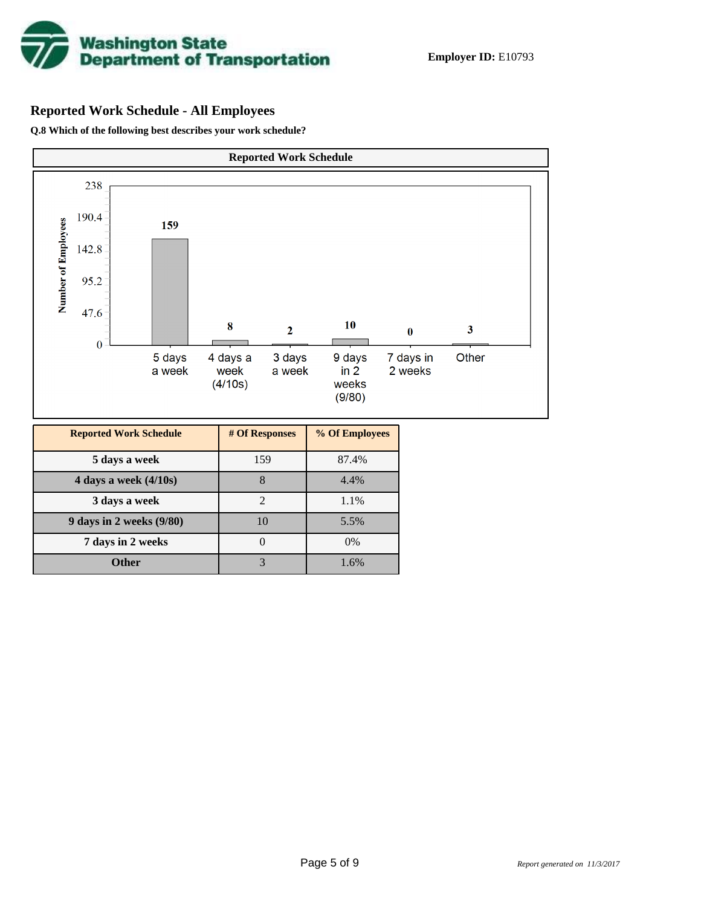

## **Reported Work Schedule - All Employees**

**Q.8 Which of the following best describes your work schedule?**

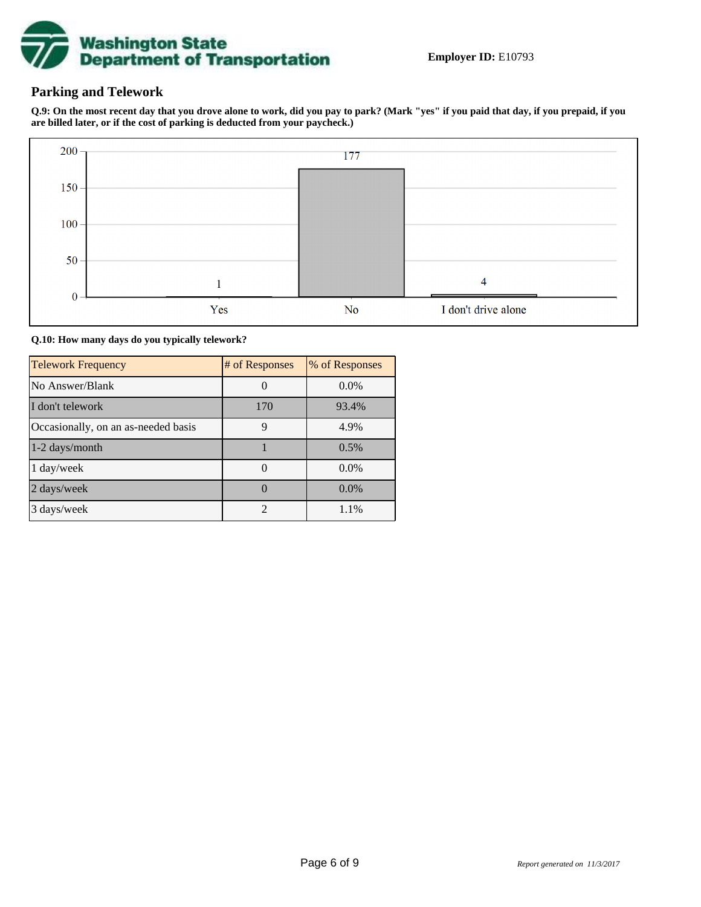

## **Parking and Telework**

**Q.9: On the most recent day that you drove alone to work, did you pay to park? (Mark "yes" if you paid that day, if you prepaid, if you are billed later, or if the cost of parking is deducted from your paycheck.)**



**Q.10: How many days do you typically telework?**

| <b>Telework Frequency</b>           | # of Responses              | % of Responses |
|-------------------------------------|-----------------------------|----------------|
| No Answer/Blank                     |                             | $0.0\%$        |
| I don't telework                    | 170                         | 93.4%          |
| Occasionally, on an as-needed basis | 9                           | 4.9%           |
| 1-2 days/month                      |                             | 0.5%           |
| 1 day/week                          |                             | $0.0\%$        |
| 2 days/week                         |                             | $0.0\%$        |
| 3 days/week                         | $\mathcal{D}_{\mathcal{L}}$ | 1.1%           |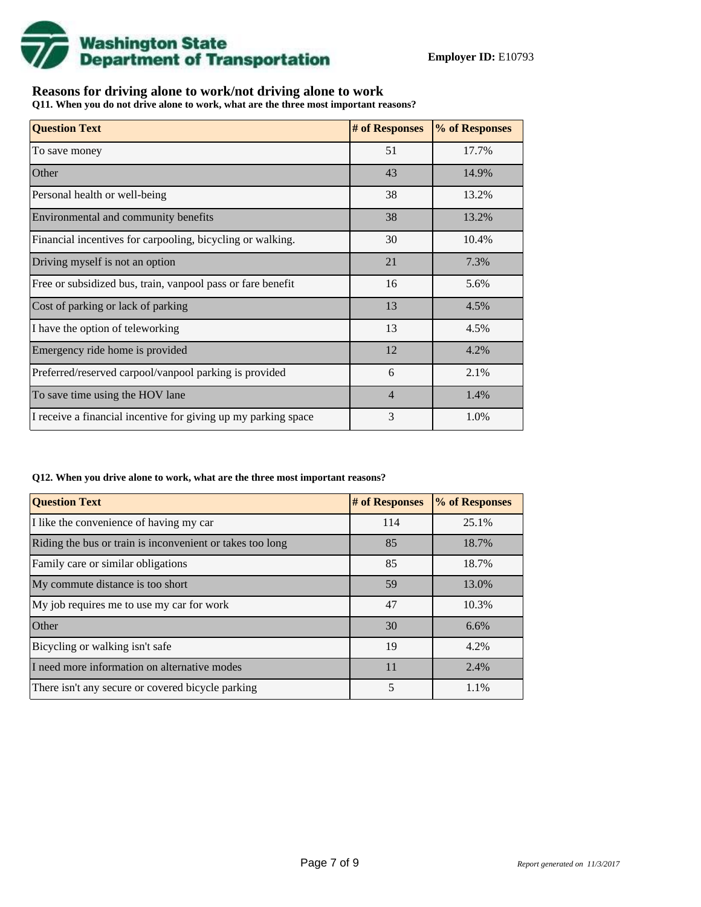

## **Reasons for driving alone to work/not driving alone to work**

**Q11. When you do not drive alone to work, what are the three most important reasons?**

| <b>Question Text</b>                                           | # of Responses | % of Responses |
|----------------------------------------------------------------|----------------|----------------|
| To save money                                                  | 51             | 17.7%          |
| Other                                                          | 43             | 14.9%          |
| Personal health or well-being                                  | 38             | 13.2%          |
| Environmental and community benefits                           | 38             | 13.2%          |
| Financial incentives for carpooling, bicycling or walking.     | 30             | 10.4%          |
| Driving myself is not an option                                | 21             | 7.3%           |
| Free or subsidized bus, train, vanpool pass or fare benefit    | 16             | 5.6%           |
| Cost of parking or lack of parking                             | 13             | 4.5%           |
| I have the option of teleworking                               | 13             | 4.5%           |
| Emergency ride home is provided                                | 12             | 4.2%           |
| Preferred/reserved carpool/vanpool parking is provided         | 6              | 2.1%           |
| To save time using the HOV lane                                | $\overline{4}$ | 1.4%           |
| I receive a financial incentive for giving up my parking space | 3              | 1.0%           |

#### **Q12. When you drive alone to work, what are the three most important reasons?**

| <b>Question Text</b>                                      | # of Responses | % of Responses |
|-----------------------------------------------------------|----------------|----------------|
| I like the convenience of having my car                   | 114            | 25.1%          |
| Riding the bus or train is inconvenient or takes too long | 85             | 18.7%          |
| Family care or similar obligations                        | 85             | 18.7%          |
| My commute distance is too short                          | 59             | 13.0%          |
| My job requires me to use my car for work                 | 47             | 10.3%          |
| Other                                                     | 30             | 6.6%           |
| Bicycling or walking isn't safe                           | 19             | 4.2%           |
| I need more information on alternative modes              | 11             | 2.4%           |
| There isn't any secure or covered bicycle parking         | 5              | 1.1%           |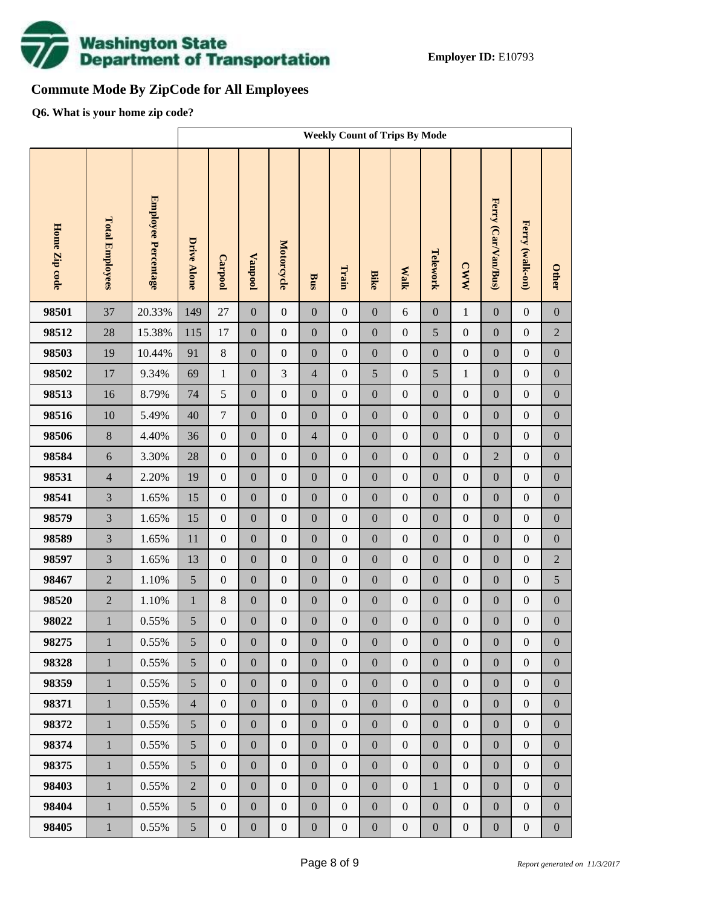

# **Commute Mode By ZipCode for All Employees**

**Q6. What is your home zip code?**

|               |                        |                     | <b>Weekly Count of Trips By Mode</b> |                  |                  |                  |                  |                  |                  |                  |                  |                  |                     |                  |                  |
|---------------|------------------------|---------------------|--------------------------------------|------------------|------------------|------------------|------------------|------------------|------------------|------------------|------------------|------------------|---------------------|------------------|------------------|
| Home Zip code | <b>Total Employees</b> | Employee Percentage | <b>Drive Alone</b>                   | Carpool          | <b>Vanpool</b>   | Motorcycle       | <b>Bus</b>       | Train            | <b>Bike</b>      | <b>Walk</b>      | Telework         | <b>CWW</b>       | Ferry (Car/Van/Bus) | Ferry (walk-on)  | <b>Other</b>     |
| 98501         | 37                     | 20.33%              | 149                                  | 27               | $\boldsymbol{0}$ | $\boldsymbol{0}$ | $\boldsymbol{0}$ | $\boldsymbol{0}$ | $\overline{0}$   | 6                | $\boldsymbol{0}$ | $\,1\,$          | $\mathbf{0}$        | $\boldsymbol{0}$ | $\boldsymbol{0}$ |
| 98512         | 28                     | 15.38%              | 115                                  | 17               | $\boldsymbol{0}$ | $\boldsymbol{0}$ | $\boldsymbol{0}$ | $\boldsymbol{0}$ | $\boldsymbol{0}$ | $\boldsymbol{0}$ | 5                | $\boldsymbol{0}$ | $\boldsymbol{0}$    | $\boldsymbol{0}$ | $\sqrt{2}$       |
| 98503         | 19                     | 10.44%              | 91                                   | $\,8\,$          | $\boldsymbol{0}$ | $\boldsymbol{0}$ | $\boldsymbol{0}$ | $\boldsymbol{0}$ | $\boldsymbol{0}$ | $\boldsymbol{0}$ | $\boldsymbol{0}$ | $\boldsymbol{0}$ | $\boldsymbol{0}$    | $\boldsymbol{0}$ | $\boldsymbol{0}$ |
| 98502         | 17                     | 9.34%               | 69                                   | $\mathbf{1}$     | $\boldsymbol{0}$ | 3                | $\overline{4}$   | $\boldsymbol{0}$ | 5                | $\boldsymbol{0}$ | 5                | $\mathbf{1}$     | $\boldsymbol{0}$    | $\boldsymbol{0}$ | $\boldsymbol{0}$ |
| 98513         | 16                     | 8.79%               | 74                                   | $\mathfrak s$    | $\boldsymbol{0}$ | $\boldsymbol{0}$ | $\boldsymbol{0}$ | $\boldsymbol{0}$ | $\boldsymbol{0}$ | $\boldsymbol{0}$ | $\boldsymbol{0}$ | $\boldsymbol{0}$ | $\boldsymbol{0}$    | $\boldsymbol{0}$ | $\boldsymbol{0}$ |
| 98516         | 10                     | 5.49%               | 40                                   | $\overline{7}$   | $\boldsymbol{0}$ | $\boldsymbol{0}$ | $\boldsymbol{0}$ | $\boldsymbol{0}$ | $\overline{0}$   | $\boldsymbol{0}$ | $\boldsymbol{0}$ | $\boldsymbol{0}$ | $\boldsymbol{0}$    | $\boldsymbol{0}$ | $\boldsymbol{0}$ |
| 98506         | $8\,$                  | 4.40%               | 36                                   | $\boldsymbol{0}$ | $\boldsymbol{0}$ | $\boldsymbol{0}$ | $\overline{4}$   | $\boldsymbol{0}$ | $\boldsymbol{0}$ | $\boldsymbol{0}$ | $\boldsymbol{0}$ | $\boldsymbol{0}$ | $\boldsymbol{0}$    | $\boldsymbol{0}$ | $\boldsymbol{0}$ |
| 98584         | $\sqrt{6}$             | 3.30%               | 28                                   | $\boldsymbol{0}$ | $\boldsymbol{0}$ | $\boldsymbol{0}$ | $\boldsymbol{0}$ | $\boldsymbol{0}$ | $\overline{0}$   | $\boldsymbol{0}$ | $\boldsymbol{0}$ | $\boldsymbol{0}$ | $\overline{2}$      | $\boldsymbol{0}$ | $\boldsymbol{0}$ |
| 98531         | $\overline{4}$         | 2.20%               | 19                                   | $\boldsymbol{0}$ | $\boldsymbol{0}$ | $\boldsymbol{0}$ | $\boldsymbol{0}$ | $\boldsymbol{0}$ | $\boldsymbol{0}$ | $\boldsymbol{0}$ | $\boldsymbol{0}$ | $\boldsymbol{0}$ | $\boldsymbol{0}$    | $\boldsymbol{0}$ | $\boldsymbol{0}$ |
| 98541         | $\overline{3}$         | 1.65%               | 15                                   | $\boldsymbol{0}$ | $\boldsymbol{0}$ | $\boldsymbol{0}$ | $\boldsymbol{0}$ | $\boldsymbol{0}$ | $\overline{0}$   | $\boldsymbol{0}$ | $\boldsymbol{0}$ | $\boldsymbol{0}$ | $\boldsymbol{0}$    | $\boldsymbol{0}$ | $\boldsymbol{0}$ |
| 98579         | $\overline{3}$         | 1.65%               | 15                                   | $\boldsymbol{0}$ | $\boldsymbol{0}$ | $\boldsymbol{0}$ | $\boldsymbol{0}$ | $\boldsymbol{0}$ | $\boldsymbol{0}$ | $\boldsymbol{0}$ | $\boldsymbol{0}$ | $\boldsymbol{0}$ | $\boldsymbol{0}$    | $\boldsymbol{0}$ | $\boldsymbol{0}$ |
| 98589         | $\overline{3}$         | 1.65%               | $11\,$                               | $\boldsymbol{0}$ | $\boldsymbol{0}$ | $\boldsymbol{0}$ | $\boldsymbol{0}$ | $\boldsymbol{0}$ | $\overline{0}$   | $\boldsymbol{0}$ | $\boldsymbol{0}$ | $\boldsymbol{0}$ | $\boldsymbol{0}$    | $\boldsymbol{0}$ | $\boldsymbol{0}$ |
| 98597         | $\overline{3}$         | 1.65%               | 13                                   | $\boldsymbol{0}$ | $\boldsymbol{0}$ | $\boldsymbol{0}$ | $\boldsymbol{0}$ | $\boldsymbol{0}$ | $\boldsymbol{0}$ | $\boldsymbol{0}$ | $\boldsymbol{0}$ | $\boldsymbol{0}$ | $\boldsymbol{0}$    | $\boldsymbol{0}$ | $\sqrt{2}$       |
| 98467         | $\overline{2}$         | 1.10%               | 5                                    | $\boldsymbol{0}$ | $\boldsymbol{0}$ | $\boldsymbol{0}$ | $\boldsymbol{0}$ | $\boldsymbol{0}$ | $\overline{0}$   | $\boldsymbol{0}$ | $\boldsymbol{0}$ | $\boldsymbol{0}$ | $\boldsymbol{0}$    | $\boldsymbol{0}$ | 5                |
| 98520         | $\overline{2}$         | 1.10%               | $\,1\,$                              | $\,8\,$          | $\boldsymbol{0}$ | $\boldsymbol{0}$ | $\boldsymbol{0}$ | $\boldsymbol{0}$ | $\boldsymbol{0}$ | $\boldsymbol{0}$ | $\boldsymbol{0}$ | $\boldsymbol{0}$ | $\boldsymbol{0}$    | $\boldsymbol{0}$ | $\boldsymbol{0}$ |
| 98022         | $\mathbf{1}$           | 0.55%               | $\sqrt{5}$                           | $\boldsymbol{0}$ | $\boldsymbol{0}$ | $\boldsymbol{0}$ | $\boldsymbol{0}$ | $\boldsymbol{0}$ | $\mathbf{0}$     | $\boldsymbol{0}$ | $\boldsymbol{0}$ | $\boldsymbol{0}$ | $\boldsymbol{0}$    | $\boldsymbol{0}$ | $\boldsymbol{0}$ |
| 98275         | $\mathbf{1}$           | $0.55\%$            | 5                                    | $\mathbf{0}$     | $\boldsymbol{0}$ | $\boldsymbol{0}$ | $\boldsymbol{0}$ | $\boldsymbol{0}$ | $\boldsymbol{0}$ | $\mathbf{0}$     | $\boldsymbol{0}$ | $\boldsymbol{0}$ | $\boldsymbol{0}$    | $\boldsymbol{0}$ | $\boldsymbol{0}$ |
| 98328         | $\mathbf{1}$           | 0.55%               | 5                                    | $\overline{0}$   | $\boldsymbol{0}$ | $\boldsymbol{0}$ | $\boldsymbol{0}$ | $\boldsymbol{0}$ | $\overline{0}$   | $\boldsymbol{0}$ | $\boldsymbol{0}$ | $\boldsymbol{0}$ | $\boldsymbol{0}$    | $\boldsymbol{0}$ | $\overline{0}$   |
| 98359         | $\mathbf{1}$           | 0.55%               | 5                                    | $\boldsymbol{0}$ | $\boldsymbol{0}$ | $\boldsymbol{0}$ | $\boldsymbol{0}$ | $\boldsymbol{0}$ | $\overline{0}$   | $\boldsymbol{0}$ | $\boldsymbol{0}$ | $\boldsymbol{0}$ | $\boldsymbol{0}$    | $\boldsymbol{0}$ | $\boldsymbol{0}$ |
| 98371         | $\mathbf{1}$           | 0.55%               | $\overline{4}$                       | $\boldsymbol{0}$ | $\boldsymbol{0}$ | $\boldsymbol{0}$ | $\boldsymbol{0}$ | $\boldsymbol{0}$ | $\boldsymbol{0}$ | $\boldsymbol{0}$ | $\boldsymbol{0}$ | $\boldsymbol{0}$ | $\boldsymbol{0}$    | $\boldsymbol{0}$ | $\boldsymbol{0}$ |
| 98372         | $\mathbf{1}$           | 0.55%               | 5                                    | $\boldsymbol{0}$ | $\boldsymbol{0}$ | $\boldsymbol{0}$ | $\overline{0}$   | $\boldsymbol{0}$ | $\overline{0}$   | $\boldsymbol{0}$ | $\boldsymbol{0}$ | $\boldsymbol{0}$ | $\boldsymbol{0}$    | $\boldsymbol{0}$ | $\boldsymbol{0}$ |
| 98374         | $\mathbf{1}$           | 0.55%               | 5                                    | $\boldsymbol{0}$ | $\boldsymbol{0}$ | $\boldsymbol{0}$ | $\boldsymbol{0}$ | $\boldsymbol{0}$ | $\boldsymbol{0}$ | $\boldsymbol{0}$ | $\boldsymbol{0}$ | $\boldsymbol{0}$ | $\boldsymbol{0}$    | $\boldsymbol{0}$ | $\boldsymbol{0}$ |
| 98375         | $\mathbf{1}$           | 0.55%               | 5                                    | $\boldsymbol{0}$ | $\boldsymbol{0}$ | $\mathbf{0}$     | $\overline{0}$   | $\mathbf{0}$     | $\overline{0}$   | $\boldsymbol{0}$ | $\boldsymbol{0}$ | $\boldsymbol{0}$ | $\boldsymbol{0}$    | $\boldsymbol{0}$ | $\boldsymbol{0}$ |
| 98403         | $\mathbf{1}$           | 0.55%               | $\overline{2}$                       | $\boldsymbol{0}$ | $\boldsymbol{0}$ | $\boldsymbol{0}$ | $\boldsymbol{0}$ | $\boldsymbol{0}$ | $\boldsymbol{0}$ | $\boldsymbol{0}$ | $\mathbf{1}$     | $\boldsymbol{0}$ | $\boldsymbol{0}$    | $\boldsymbol{0}$ | $\boldsymbol{0}$ |
| 98404         | $\mathbf{1}$           | 0.55%               | 5                                    | $\boldsymbol{0}$ | $\boldsymbol{0}$ | $\boldsymbol{0}$ | $\boldsymbol{0}$ | $\boldsymbol{0}$ | $\overline{0}$   | $\boldsymbol{0}$ | $\boldsymbol{0}$ | $\boldsymbol{0}$ | $\boldsymbol{0}$    | $\boldsymbol{0}$ | $\boldsymbol{0}$ |
| 98405         | $1\,$                  | 0.55%               | 5                                    | $\boldsymbol{0}$ | $\boldsymbol{0}$ | $\boldsymbol{0}$ | $\boldsymbol{0}$ | $\boldsymbol{0}$ | $\boldsymbol{0}$ | $\boldsymbol{0}$ | $\boldsymbol{0}$ | $\boldsymbol{0}$ | $\boldsymbol{0}$    | $\boldsymbol{0}$ | $\boldsymbol{0}$ |